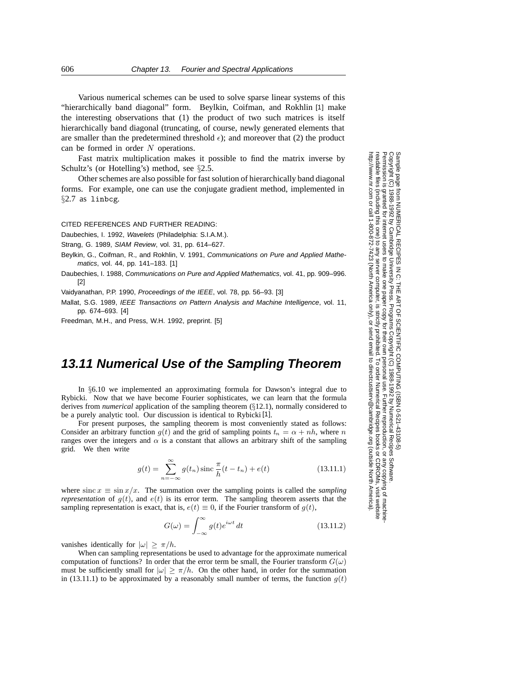Various numerical schemes can be used to solve sparse linear systems of this "hierarchically band diagonal" form. Beylkin, Coifman, and Rokhlin [1] make the interesting observations that (1) the product of two such matrices is itself hierarchically band diagonal (truncating, of course, newly generated elements that are smaller than the predetermined threshold  $\epsilon$ ); and moreover that (2) the product can be formed in order N operations.

Fast matrix multiplication makes it possible to find the matrix inverse by Schultz's (or Hotelling's) method, see *§*2.5.

Other schemes are also possible for fast solution of hierarchically band diagonal forms. For example, one can use the conjugate gradient method, implemented in *§*2.7 as linbcg.

CITED REFERENCES AND FURTHER READING:

Daubechies, I. 1992, Wavelets (Philadelphia: S.I.A.M.).

Strang, G. 1989, SIAM Review, vol. 31, pp. 614–627.

- Beylkin, G., Coifman, R., and Rokhlin, V. 1991, Communications on Pure and Applied Mathematics, vol. 44, pp. 141–183. [1]
- Daubechies, I. 1988, Communications on Pure and Applied Mathematics, vol. 41, pp. 909–996. [2]

Vaidyanathan, P.P. 1990, Proceedings of the IEEE, vol. 78, pp. 56–93. [3]

Mallat, S.G. 1989, IEEE Transactions on Pattern Analysis and Machine Intelligence, vol. 11, pp. 674–693. [4]

Freedman, M.H., and Press, W.H. 1992, preprint. [5]

## **13.11 Numerical Use of the Sampling Theorem**

In §6.10 we implemented an approximating formula for Dawson's integral due to Rybicki. Now that we have become Fourier sophisticates, we can learn that the formula derives from *numerical* application of the sampling theorem (§12.1), normally considered to be a purely analytic tool. Our discussion is identical to Rybicki [1].

For present purposes, the sampling theorem is most conveniently stated as follows: Consider an arbitrary function  $g(t)$  and the grid of sampling points  $t_n = \alpha + nh$ , where n ranges over the integers and  $\alpha$  is a constant that allows an arbitrary shift of the sampling grid. We then write

$$
g(t) = \sum_{n = -\infty}^{\infty} g(t_n) \operatorname{sinc} \frac{\pi}{h}(t - t_n) + e(t)
$$
 (13.11.1)

where  $\sin(x) \equiv \sin(x) / x$ . The summation over the sampling points is called the *sampling representation* of  $g(t)$ , and  $e(t)$  is its error term. The sampling theorem asserts that the sampling representation is exact, that is,  $e(t) \equiv 0$ , if the Fourier transform of  $g(t)$ ,

$$
G(\omega) = \int_{-\infty}^{\infty} g(t)e^{i\omega t} dt
$$
 (13.11.2)

vanishes identically for  $|\omega| \ge \pi/h$ .

When can sampling representations be used to advantage for the approximate numerical computation of functions? In order that the error term be small, the Fourier transform  $G(\omega)$ must be sufficiently small for  $|\omega| \ge \pi/h$ . On the other hand, in order for the summation in (13.11.1) to be approximated by a reasonably small number of terms, the function  $q(t)$ 

Permission is granted for internet users to make one paper copy for their own personal use. Further reproduction, or any copyin Copyright (C) 1988-1992 by Cambridge University Press.Programs Copyright (C) 1988-1992 by Numerical Recipes Software. Sample page from NUMERICAL RECIPES IN C: THE ART OF SCIENTIFIC COMPUTING (ISBN 0-521-43108-5) g of machinereadable files (including this one) to any servercomputer, is strictly prohibited. To order Numerical Recipes booksor CDROMs, visit website http://www.nr.com or call 1-800-872-7423 (North America only),or send email to directcustserv@cambridge.org (outside North America).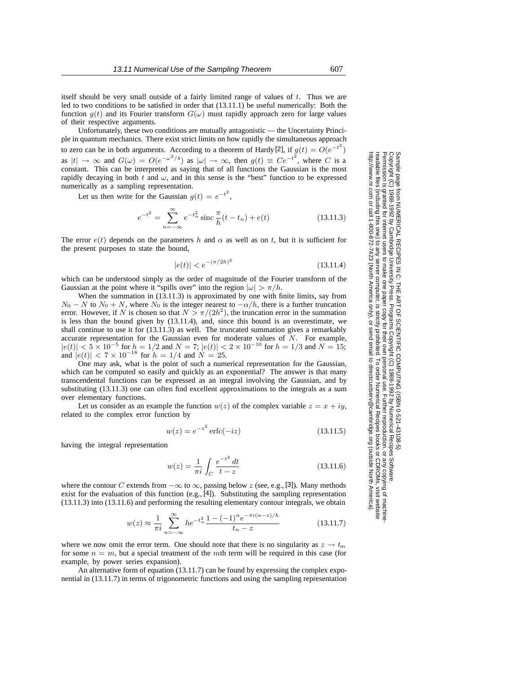itself should be very small outside of a fairly limited range of values of  $t$ . Thus we are led to two conditions to be satisfied in order that (13.11.1) be useful numerically: Both the function  $g(t)$  and its Fourier transform  $G(\omega)$  must rapidly approach zero for large values of their respective arguments.

Unfortunately, these two conditions are mutually antagonistic — the Uncertainty Principle in quantum mechanics. There exist strict limits on how rapidly the simultaneous approach to zero can be in both arguments. According to a theorem of Hardy [2], if  $g(t) = O(e^{-t^2})$ as  $|t| \to \infty$  and  $G(\omega) = O(e^{-\omega^2/4})$  as  $|\omega| \to \infty$ , then  $g(t) \equiv Ce^{-t^2}$ , where C is a constant. This can be interpreted as saying that of all functions the Gaussian is the most rapidly decaying in both  $t$  and  $\omega$ , and in this sense is the "best" function to be expressed numerically as a sampling representation.

Let us then write for the Gaussian  $g(t) = e^{-t^2}$ ,

$$
e^{-t^2} = \sum_{n=-\infty}^{\infty} e^{-t_n^2} \operatorname{sinc} \frac{\pi}{h}(t - t_n) + e(t)
$$
 (13.11.3)

The error  $e(t)$  depends on the parameters h and  $\alpha$  as well as on t, but it is sufficient for the present purposes to state the bound,

$$
|e(t)| < e^{-(\pi/2h)^2} \tag{13.11.4}
$$

which can be understood simply as the order of magnitude of the Fourier transform of the Gaussian at the point where it "spills over" into the region  $|\omega| > \pi/h$ .

When the summation in (13.11.3) is approximated by one with finite limits, say from  $N_0 - N$  to  $N_0 + N$ , where  $N_0$  is the integer nearest to  $-\alpha/h$ , there is a further truncation error. However, if N is chosen so that  $N > \pi/(2h^2)$ , the truncation error in the summation is less than the bound given by (13.11.4), and, since this bound is an overestimate, we shall continue to use it for (13.11.3) as well. The truncated summation gives a remarkably accurate representation for the Gaussian even for moderate values of N. For example,  $|e(t)| < 5 \times 10^{-5}$  for  $h = 1/2$  and  $N = 7$ ;  $|e(t)| < 2 \times 10^{-10}$  for  $h = 1/3$  and  $N = 15$ ; and  $|e(t)| < 7 \times 10^{-18}$  for  $h = 1/4$  and  $N = 25$ .

One may ask, what is the point of such a numerical representation for the Gaussian, which can be computed so easily and quickly as an exponential? The answer is that many transcendental functions can be expressed as an integral involving the Gaussian, and by substituting (13.11.3) one can often find excellent approximations to the integrals as a sum over elementary functions.

Let us consider as an example the function  $w(z)$  of the complex variable  $z = x + iy$ , related to the complex error function by

$$
w(z) = e^{-z^2} \operatorname{erfc}(-iz) \tag{13.11.5}
$$

having the integral representation

$$
w(z) = \frac{1}{\pi i} \int_C \frac{e^{-t^2} dt}{t - z}
$$
 (13.11.6)

where the contour C extends from  $-\infty$  to  $\infty$ , passing below z (see, e.g., [3]). Many methods exist for the evaluation of this function  $(e.g., [4])$ . Substituting the sampling representation (13.11.3) into (13.11.6) and performing the resulting elementary contour integrals, we obtain

$$
w(z) \approx \frac{1}{\pi i} \sum_{n=-\infty}^{\infty} h e^{-t_n^2} \frac{1 - (-1)^n e^{-\pi i (\alpha - z)/h}}{t_n - z}
$$
(13.11.7)

where we now omit the error term. One should note that there is no singularity as  $z \to t_m$ for some  $n = m$ , but a special treatment of the mth term will be required in this case (for example, by power series expansion).

An alternative form of equation (13.11.7) can be found by expressing the complex exponential in (13.11.7) in terms of trigonometric functions and using the sampling representation

Permission is granted for internet users to make one paper copy for their own personal use. Further reproduction, or any copyin Copyright (C) 1988-1992 by Cambridge University Press.Programs Copyright (C) 1988-1992 by Numerical Recipes Software. Sample page from NUMERICAL RECIPES IN C: THE ART OF SCIENTIFIC COMPUTING (ISBN 0-521-43108-5) g of machinereadable files (including this one) to any servercomputer, is strictly prohibited. To order Numerical Recipes booksor CDROMs, visit website http://www.nr.com or call 1-800-872-7423 (North America only),or send email to directcustserv@cambridge.org (outside North America).